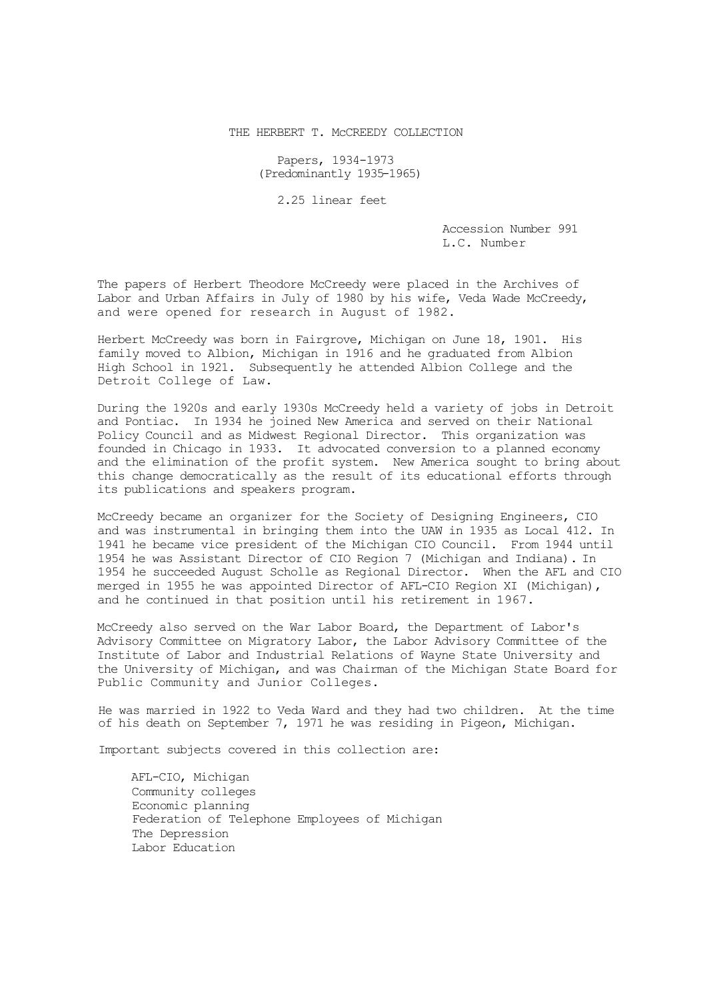THE HERBERT T. MCCREEDY COLLECTION

Papers, 1934-1973 (Predominantly 1935-1965)

2.25 linear feet

Accession Number 991 L.C. Number

The papers of Herbert Theodore McCreedy were placed in the Archives of Labor and Urban Affairs in July of 1980 by his wife, Veda Wade McCreedy, and were opened for research in August of 1982.

Herbert McCreedy was born in Fairgrove, Michigan on June 18, 1901. His family moved to Albion, Michigan in 1916 and he graduated from Albion High School in 1921. Subsequently he attended Albion College and the Detroit College of Law.

During the 1920s and early 1930s McCreedy held a variety of jobs in Detroit and Pontiac. In 1934 he joined New America and served on their National Policy Council and as Midwest Regional Director. This organization was founded in Chicago in 1933. It advocated conversion to a planned economy and the elimination of the profit system. New America sought to bring about this change democratically as the result of its educational efforts through its publications and speakers program.

McCreedy became an organizer for the Society of Designing Engineers, CIO and was instrumental in bringing them into the UAW in 1935 as Local 412. In 1941 he became vice president of the Michigan CIO Council. From 1944 until 1954 he was Assistant Director of CIO Region 7 (Michigan and Indiana). In 1954 he succeeded August Scholle as Regional Director. When the AFL and CIO merged in 1955 he was appointed Director of AFL-CIO Region XI (Michigan), and he continued in that position until his retirement in 1967.

McCreedy also served on the War Labor Board, the Department of Labor's Advisory Committee on Migratory Labor, the Labor Advisory Committee of the Institute of Labor and Industrial Relations of Wayne State University and the University of Michigan, and was Chairman of the Michigan State Board for Public Community and Junior Colleges.

He was married in 1922 to Veda Ward and they had two children. At the time of his death on September 7, 1971 he was residing in Pigeon, Michigan.

Important subjects covered in this collection are:

AFL-CIO, Michigan Community colleges Economic planning Federation of Telephone Employees of Michigan The Depression Labor Education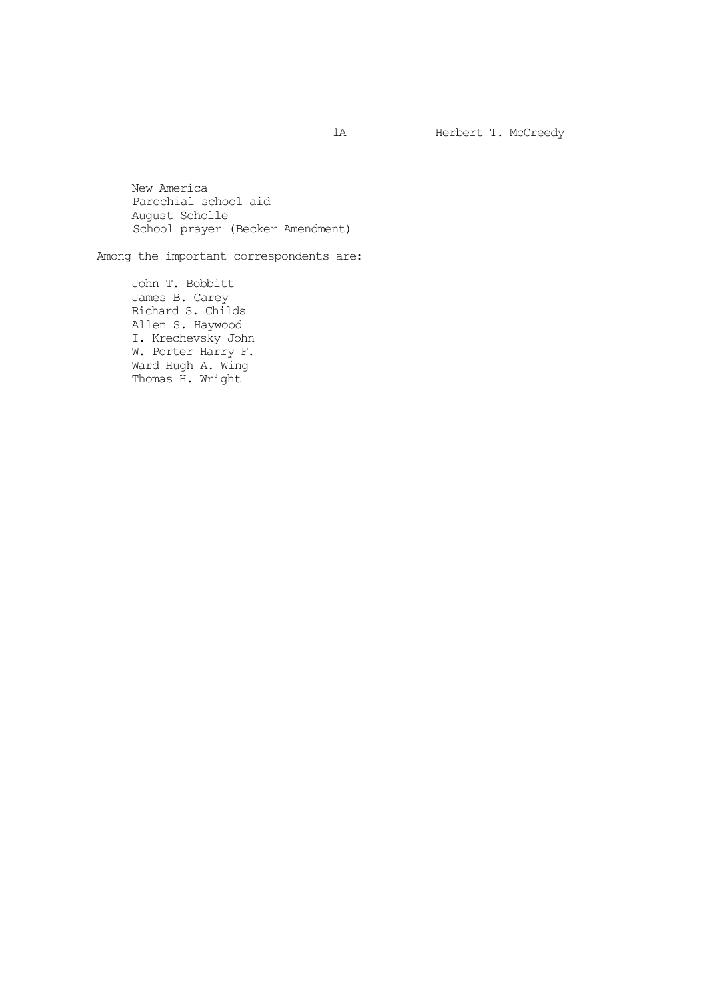1A Herbert T. McCreedy

New America Parochial school aid August Scholle School prayer (Becker Amendment)

Among the important correspondents are:

John T. Bobbitt James B. Carey Richard S. Childs Allen S. Haywood I. Krechevsky John W. Porter Harry F. Ward Hugh A. Wing Thomas H. Wright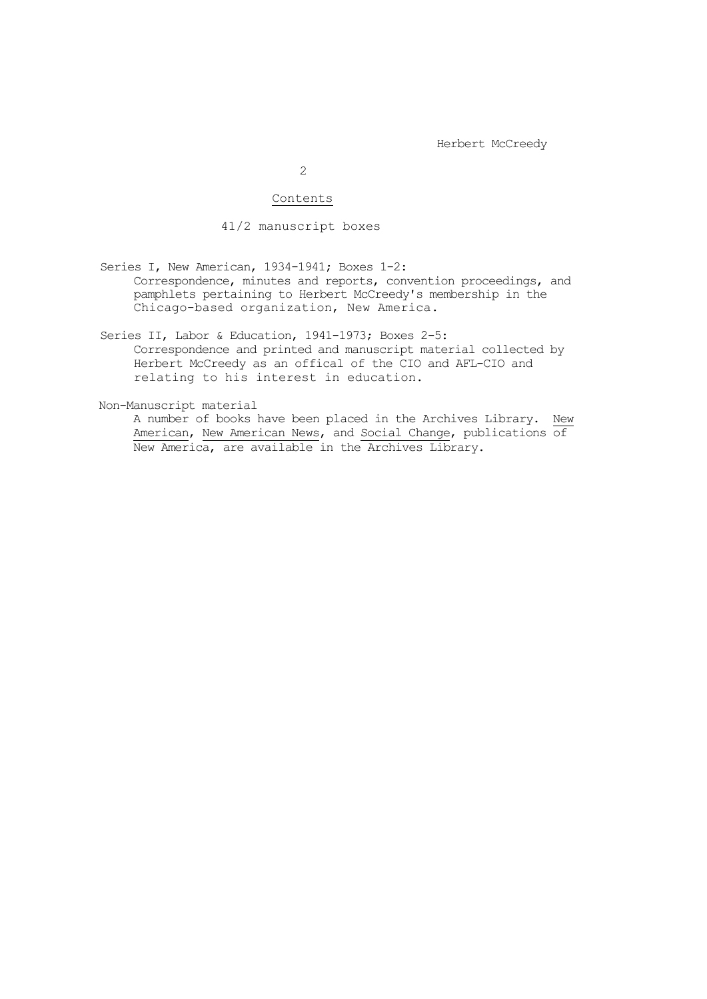2

## Contents

41/2 manuscript boxes

Series I, New American, 1934-1941; Boxes 1-2: Correspondence, minutes and reports, convention proceedings, and pamphlets pertaining to Herbert McCreedy's membership in the Chicago-based organization, New America.

Series II, Labor & Education, 1941-1973; Boxes 2-5: Correspondence and printed and manuscript material collected by Herbert McCreedy as an offical of the CIO and AFL-CIO and relating to his interest in education.

Non-Manuscript material

A number of books have been placed in the Archives Library. New American, New American News, and Social Change, publications of New America, are available in the Archives Library.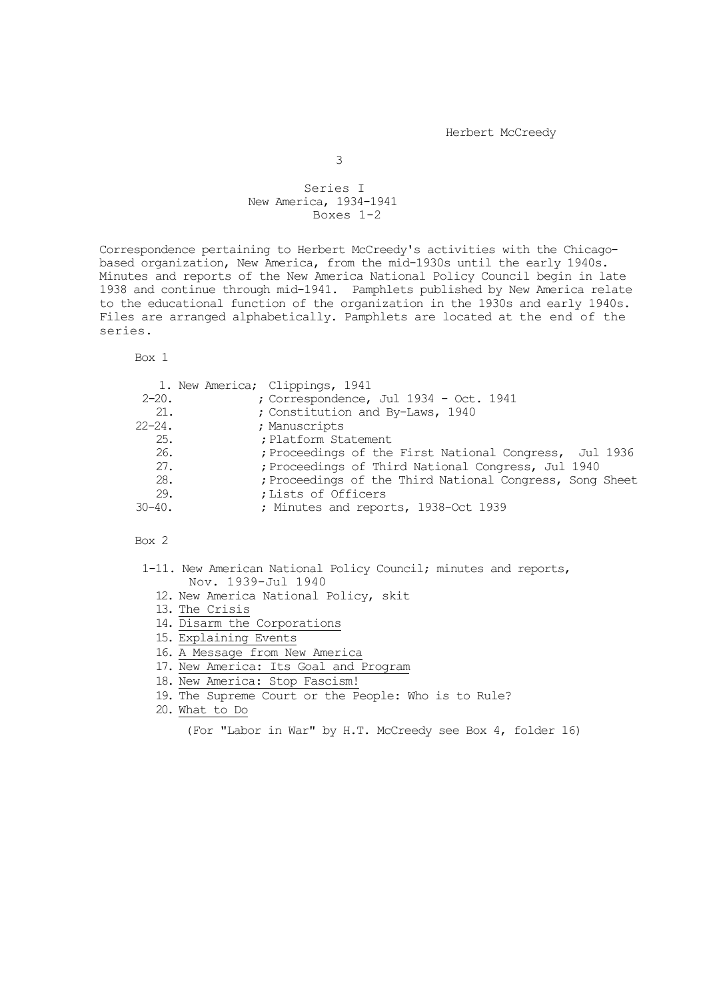## Series I New America, 1934-1941 Boxes 1-2

Correspondence pertaining to Herbert McCreedy's activities with the Chicagobased organization, New America, from the mid-1930s until the early 1940s. Minutes and reports of the New America National Policy Council begin in late 1938 and continue through mid-1941. Pamphlets published by New America relate to the educational function of the organization in the 1930s and early 1940s. Files are arranged alphabetically. Pamphlets are located at the end of the series.

Box 1

|             | 1. New America; Clippings, 1941                          |
|-------------|----------------------------------------------------------|
| $2 - 20$ .  | ; Correspondence, Jul 1934 - Oct. 1941                   |
| 21.         | ; Constitution and By-Laws, 1940                         |
| $22 - 24$ . | ; Manuscripts                                            |
| 25.         | ; Platform Statement                                     |
| 26.         | ; Proceedings of the First National Congress, Jul 1936   |
| 27.         | ; Proceedings of Third National Congress, Jul 1940       |
| 28.         | ; Proceedings of the Third National Congress, Song Sheet |
| 29.         | ; Lists of Officers                                      |
| $30 - 40$ . | ; Minutes and reports, 1938-Oct 1939                     |

Box 2

- 1-11. New American National Policy Council; minutes and reports, Nov. 1939-Jul 1940
	- 12. New America National Policy, skit
	- 13. The Crisis
	- 14. Disarm the Corporations
	- 15. Explaining Events
	- 16. A Message from New America
	- 17. New America: Its Goal and Program
	- 18. New America: Stop Fascism!
	- 19. The Supreme Court or the People: Who is to Rule?

20. What to Do

(For "Labor in War" by H.T. McCreedy see Box 4, folder 16)

3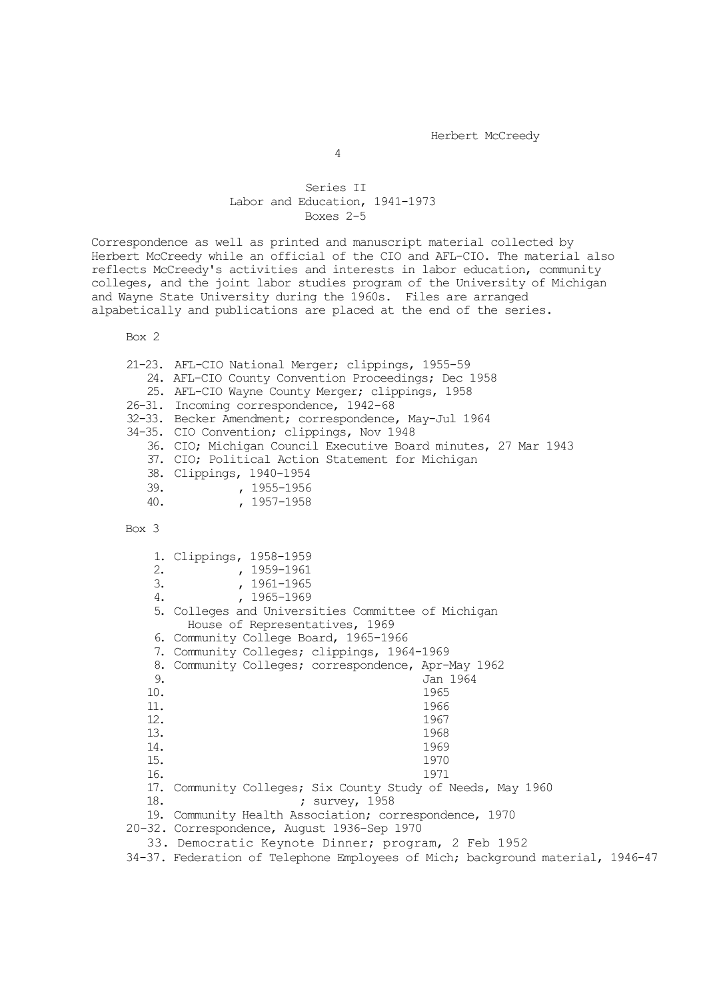## Series II Labor and Education, 1941-1973 Boxes 2-5

Correspondence as well as printed and manuscript material collected by Herbert McCreedy while an official of the CIO and AFL-CIO. The material also reflects McCreedy's activities and interests in labor education, community colleges, and the joint labor studies program of the University of Michigan and Wayne State University during the 1960s. Files are arranged alpabetically and publications are placed at the end of the series.

Box 2

|       | 21-23. AFL-CIO National Merger; clippings, 1955-59             |
|-------|----------------------------------------------------------------|
|       | 24. AFL-CIO County Convention Proceedings; Dec 1958            |
|       | 25. AFL-CIO Wayne County Merger; clippings, 1958               |
|       | 26-31. Incoming correspondence, 1942-68                        |
|       | 32-33. Becker Amendment; correspondence, May-Jul 1964          |
|       | 34-35. CIO Convention; clippings, Nov 1948                     |
|       | 36. CIO; Michigan Council Executive Board minutes, 27 Mar 1943 |
|       | 37. CIO; Political Action Statement for Michigan               |
|       | 38. Clippings, 1940-1954                                       |
| 39.   | , 1955-1956                                                    |
| 40.   | , 1957-1958                                                    |
|       |                                                                |
| Box 3 |                                                                |

1. Clippings, 1958-1959<br>2. . . . . 1959-1961 2. , 1959–1961<br>3. , 1961–1965 3. , 1961-1965<br>4. , 1965-1969 4. , 1965-1969 5. Colleges and Universities Committee of Michigan House of Representatives, 1969 6. Community College Board, 1965-1966 7. Community Colleges; clippings, 1964-1969 8. Community Colleges; correspondence, Apr-May 1962<br>9. Jan 1964 9. Jan 1964<br>10. 1965 10. 1965 11. 1966 12. 1967 13. 1968 14. 1969 15. 1970 16. 1971 17. Community Colleges; Six County Study of Needs, May 1960 18. ; survey, 1958 19. Community Health Association; correspondence, 1970 20-32. Correspondence, August 1936-Sep 1970 33. Democratic Keynote Dinner; program, 2 Feb 1952 34-37. Federation of Telephone Employees of Mich; background material, 1946-47

4